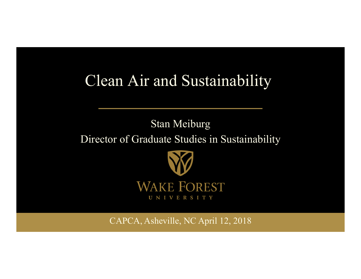# Clean Air and Sustainability

# Stan Meiburg Director of Graduate Studies in Sustainability



CAPCA, Asheville, NC April 12, 2018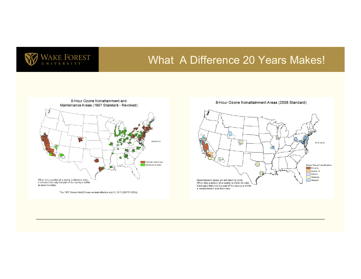

#### What A Difference 20 Years Makes!



The 1997 Ozone NAAQS was revoked effective April 6, 2015 (80 FR 12264).

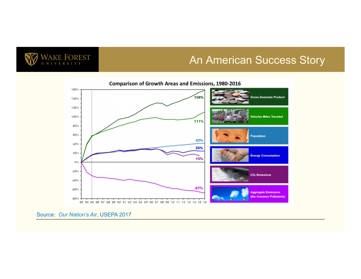

#### An American Success Story



Source: *Our Nation's Air*, USEPA 2017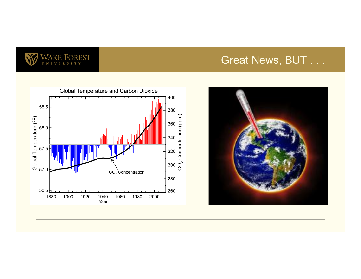

## Great News, BUT . . .



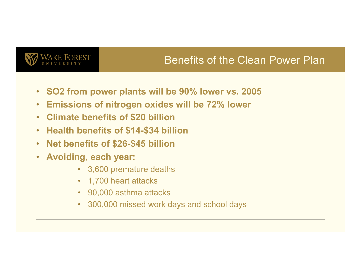

## Benefits of the Clean Power Plan

- **SO2 from power plants will be 90% lower vs. 2005**
- **Emissions of nitrogen oxides will be 72% lower**
- **Climate benefits of \$20 billion**
- **Health benefits of \$14-\$34 billion**
- **Net benefits of \$26-\$45 billion**
- **Avoiding, each year:** 
	- 3,600 premature deaths
	- 1,700 heart attacks
	- 90,000 asthma attacks
	- 300,000 missed work days and school days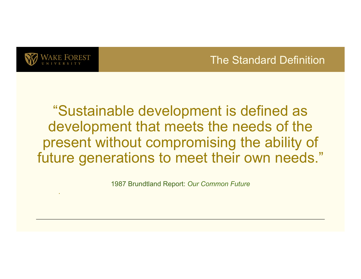

.

#### The Standard Definition

"Sustainable development is defined as development that meets the needs of the present without compromising the ability of future generations to meet their own needs."

1987 Brundtland Report: *Our Common Future*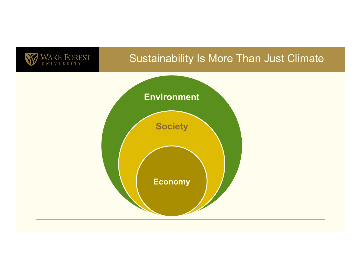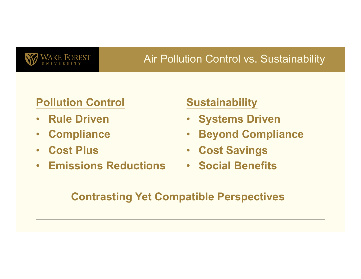

## **Air Pollution Control vs. Sustainability**

#### **Pollution Control**

- **Rule Driven**
- **Compliance**
- **Cost Plus**
- **Emissions Reductions**

#### **Sustainability**

- **Systems Driven**
- **Beyond Compliance**
- **Cost Savings**
- **Social Benefits**

#### **Contrasting Yet Compatible Perspectives**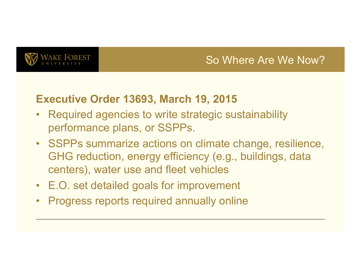

#### So Where Are We Now?

#### **Executive Order 13693, March 19, 2015**

- Required agencies to write strategic sustainability performance plans, or SSPPs.
- SSPPs summarize actions on climate change, resilience, GHG reduction, energy efficiency (e.g., buildings, data centers), water use and fleet vehicles
- E.O. set detailed goals for improvement
- Progress reports required annually online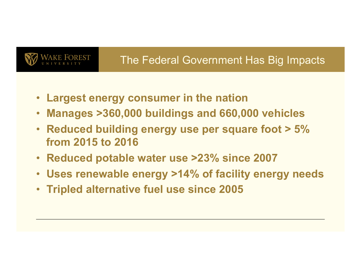

# The Federal Government Has Big Impacts

- **Largest energy consumer in the nation**
- **Manages >360,000 buildings and 660,000 vehicles**
- **Reduced building energy use per square foot > 5% from 2015 to 2016**
- **Reduced potable water use >23% since 2007**
- **Uses renewable energy >14% of facility energy needs**
- **Tripled alternative fuel use since 2005**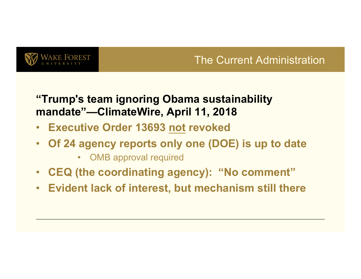

## The Current Administration

#### **"Trump's team ignoring Obama sustainability mandate"—ClimateWire, April 11, 2018**

- **Executive Order 13693 not revoked**
- **Of 24 agency reports only one (DOE) is up to date** 
	- OMB approval required
- **CEQ (the coordinating agency): "No comment"**
- **Evident lack of interest, but mechanism still there**